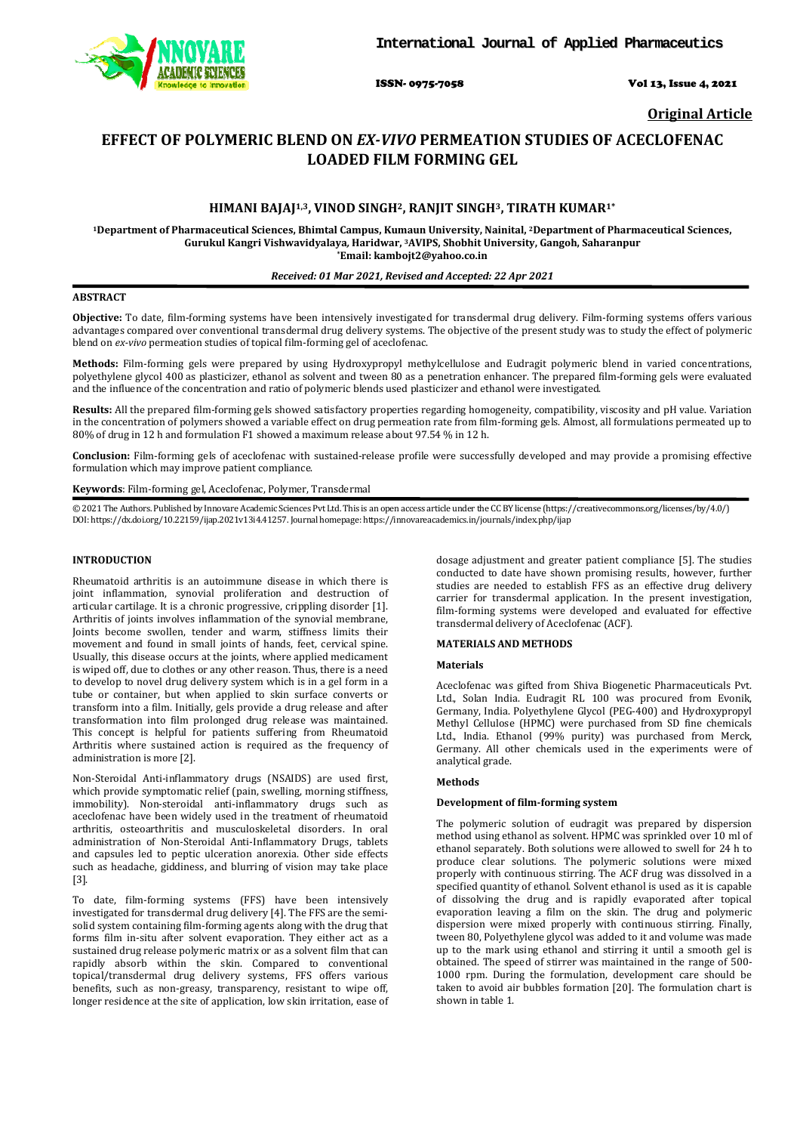

ISSN- 0975-7058 Vol 13, Issue 4, 2021

**Original Article** 

# **EFFECT OF POLYMERIC BLEND ON** *EX-VIVO* **PERMEATION STUDIES OF ACECLOFENAC LOADED FILM FORMING GEL**

## **HIMANI BAJAJ1,3, VINOD SINGH2, RANJIT SINGH3, TIRATH KUMAR1\***

**<sup>1</sup>Department of Pharmaceutical Sciences, Bhimtal Campus, Kumaun University, Nainital, 2Department of Pharmaceutical Sciences, Gurukul Kangri Vishwavidyalaya***,* **Haridwar, 3AVIPS, Shobhit University, Gangoh, Saharanpur \*Email: kambojt2@yahoo.co.in** 

#### *Received: 01 Mar 2021, Revised and Accepted: 22 Apr 2021*

#### **ABSTRACT**

**Objective:** To date, film-forming systems have been intensively investigated for transdermal drug delivery. Film-forming systems offers various advantages compared over conventional transdermal drug delivery systems. The objective of the present study was to study the effect of polymeric blend on *ex-vivo* permeation studies of topical film-forming gel of aceclofenac.

**Methods:** Film-forming gels were prepared by using Hydroxypropyl methylcellulose and Eudragit polymeric blend in varied concentrations, polyethylene glycol 400 as plasticizer, ethanol as solvent and tween 80 as a penetration enhancer. The prepared film-forming gels were evaluated and the influence of the concentration and ratio of polymeric blends used plasticizer and ethanol were investigated.

**Results:** All the prepared film-forming gels showed satisfactory properties regarding homogeneity, compatibility, viscosity and pH value. Variation in the concentration of polymers showed a variable effect on drug permeation rate from film-forming gels. Almost, all formulations permeated up to 80% of drug in 12 h and formulation F1 showed a maximum release about 97.54 % in 12 h.

**Conclusion:** Film-forming gels of aceclofenac with sustained-release profile were successfully developed and may provide a promising effective formulation which may improve patient compliance.

**Keywords**: Film-forming gel, Aceclofenac, Polymer, Transdermal

© 2021 The Authors. Published by Innovare Academic Sciences Pvt Ltd. This is an open access article under the CC BY license (https://creativecommons.org/licenses/by/4.0/) DOI: https://dx.doi.org/10.22159/ijap.2021v13i4.41257. Journal homepage: https://innovareacademics.in/journals/index.php/ijap

## **INTRODUCTION**

Rheumatoid arthritis is an autoimmune disease in which there is joint inflammation, synovial proliferation and destruction of articular cartilage. It is a chronic progressive, crippling disorder [1]. Arthritis of joints involves inflammation of the synovial membrane, Joints become swollen, tender and warm, stiffness limits their movement and found in small joints of hands, feet, cervical spine. Usually, this disease occurs at the joints, where applied medicament is wiped off, due to clothes or any other reason. Thus, there is a need to develop to novel drug delivery system which is in a gel form in a tube or container, but when applied to skin surface converts or transform into a film. Initially, gels provide a drug release and after transformation into film prolonged drug release was maintained. This concept is helpful for patients suffering from Rheumatoid Arthritis where sustained action is required as the frequency of administration is more [2].

Non-Steroidal Anti-inflammatory drugs (NSAIDS) are used first, which provide symptomatic relief (pain, swelling, morning stiffness, immobility). Non-steroidal anti-inflammatory drugs such as aceclofenac have been widely used in the treatment of rheumatoid arthritis, osteoarthritis and musculoskeletal disorders. In oral administration of Non-Steroidal Anti-Inflammatory Drugs, tablets and capsules led to peptic ulceration anorexia. Other side effects such as headache, giddiness, and blurring of vision may take place [3].

To date, film-forming systems (FFS) have been intensively investigated for transdermal drug delivery [4]. The FFS are the semisolid system containing film-forming agents along with the drug that forms film in-situ after solvent evaporation. They either act as a sustained drug release polymeric matrix or as a solvent film that can rapidly absorb within the skin. Compared to conventional topical/transdermal drug delivery systems, FFS offers various benefits, such as non-greasy, transparency, resistant to wipe off, longer residence at the site of application, low skin irritation, ease of

dosage adjustment and greater patient compliance [5]. The studies conducted to date have shown promising results, however, further studies are needed to establish FFS as an effective drug delivery carrier for transdermal application. In the present investigation, film-forming systems were developed and evaluated for effective transdermal delivery of Aceclofenac (ACF).

#### **MATERIALS AND METHODS**

#### **Materials**

Aceclofenac was gifted from Shiva Biogenetic Pharmaceuticals Pvt. Ltd., Solan India. Eudragit RL 100 was procured from Evonik, Germany, India. Polyethylene Glycol (PEG-400) and Hydroxypropyl Methyl Cellulose (HPMC) were purchased from SD fine chemicals Ltd., India. Ethanol (99% purity) was purchased from Merck, Germany. All other chemicals used in the experiments were of analytical grade.

#### **Methods**

#### **Development of film-forming system**

The polymeric solution of eudragit was prepared by dispersion method using ethanol as solvent. HPMC was sprinkled over 10 ml of ethanol separately. Both solutions were allowed to swell for 24 h to produce clear solutions. The polymeric solutions were mixed properly with continuous stirring. The ACF drug was dissolved in a specified quantity of ethanol. Solvent ethanol is used as it is capable of dissolving the drug and is rapidly evaporated after topical evaporation leaving a film on the skin. The drug and polymeric dispersion were mixed properly with continuous stirring. Finally, tween 80, Polyethylene glycol was added to it and volume was made up to the mark using ethanol and stirring it until a smooth gel is obtained. The speed of stirrer was maintained in the range of 500- 1000 rpm. During the formulation, development care should be taken to avoid air bubbles formation [20]. The formulation chart is shown in table 1.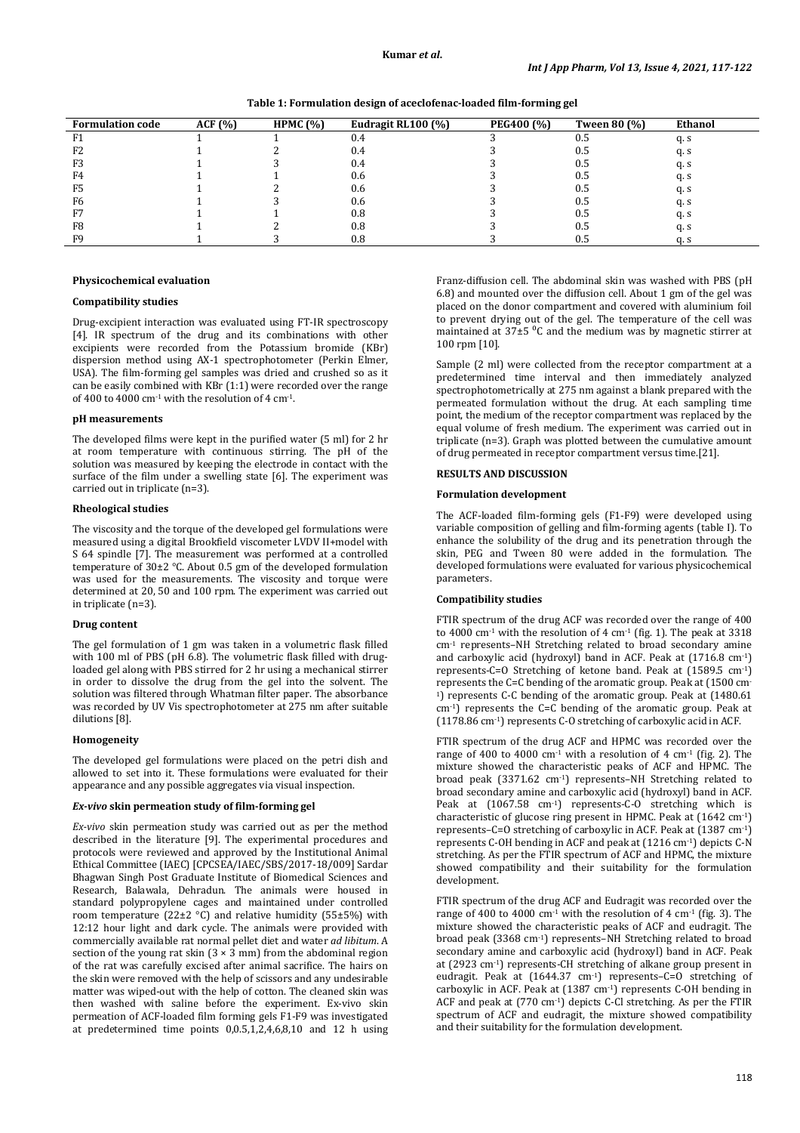**Table 1: Formulation design of aceclofenac-loaded film-forming gel** 

| <b>Formulation code</b> | ACF(%) | HPMC $(%)$ | Eudragit RL100 (%) | <b>PEG400 (%)</b> | <b>Tween 80 (%)</b> | Ethanol |
|-------------------------|--------|------------|--------------------|-------------------|---------------------|---------|
| F1                      |        |            | 0.4                |                   |                     | q. s    |
| F <sub>2</sub>          |        |            | 0.4                |                   | U.5                 | q. s    |
| F3                      |        |            | 0.4                |                   | U.5                 | q. s    |
| F4                      |        |            | 0.6                |                   | U.5                 | q. s    |
| F <sub>5</sub>          |        |            | 0.6                |                   | U.F                 | q. s    |
| F6                      |        |            | 0.6                |                   | Ս.Ե                 | q. s    |
| F7                      |        |            | 0.8                |                   | Ս.Ե                 | q. s    |
| F8                      |        |            | 0.8                |                   | U.F                 | q. s    |
| F9                      |        |            | 0.8                |                   | U.5                 | a. s    |

## **Physicochemical evaluation**

## **Compatibility studies**

Drug-excipient interaction was evaluated using FT-IR spectroscopy [4]. IR spectrum of the drug and its combinations with other excipients were recorded from the Potassium bromide (KBr) dispersion method using AX-1 spectrophotometer (Perkin Elmer, USA). The film-forming gel samples was dried and crushed so as it can be easily combined with KBr (1:1) were recorded over the range of 400 to 4000 cm $^{-1}$  with the resolution of 4 cm $^{-1}$ .

## **pH measurements**

The developed films were kept in the purified water (5 ml) for 2 hr at room temperature with continuous stirring. The pH of the solution was measured by keeping the electrode in contact with the surface of the film under a swelling state [6]. The experiment was carried out in triplicate (n=3).

### **Rheological studies**

The viscosity and the torque of the developed gel formulations were measured using a digital Brookfield viscometer LVDV II+model with S 64 spindle [7]. The measurement was performed at a controlled temperature of 30±2 °C. About 0.5 gm of the developed formulation was used for the measurements. The viscosity and torque were determined at 20, 50 and 100 rpm. The experiment was carried out in triplicate (n=3).

#### **Drug content**

The gel formulation of 1 gm was taken in a volumetric flask filled with 100 ml of PBS (pH 6.8). The volumetric flask filled with drugloaded gel along with PBS stirred for 2 hr using a mechanical stirrer in order to dissolve the drug from the gel into the solvent. The solution was filtered through Whatman filter paper. The absorbance was recorded by UV Vis spectrophotometer at 275 nm after suitable dilutions [8].

#### **Homogeneity**

The developed gel formulations were placed on the petri dish and allowed to set into it. These formulations were evaluated for their appearance and any possible aggregates via visual inspection.

#### *Ex-vivo* **skin permeation study of film-forming gel**

*Ex-vivo* skin permeation study was carried out as per the method described in the literature [9]. The experimental procedures and protocols were reviewed and approved by the Institutional Animal Ethical Committee (IAEC) [CPCSEA/IAEC/SBS/2017-18/009] Sardar Bhagwan Singh Post Graduate Institute of Biomedical Sciences and Research, Balawala, Dehradun. The animals were housed in standard polypropylene cages and maintained under controlled room temperature  $(22\pm2 \degree C)$  and relative humidity (55 $\pm$ 5%) with 12:12 hour light and dark cycle. The animals were provided with commercially available rat normal pellet diet and water *ad libitum*. A section of the young rat skin  $(3 \times 3 \text{ mm})$  from the abdominal region of the rat was carefully excised after animal sacrifice. The hairs on the skin were removed with the help of scissors and any undesirable matter was wiped-out with the help of cotton. The cleaned skin was then washed with saline before the experiment. Ex-vivo skin permeation of ACF-loaded film forming gels F1-F9 was investigated at predetermined time points 0,0.5,1,2,4,6,8,10 and 12 h using

Franz-diffusion cell. The abdominal skin was washed with PBS (pH 6.8) and mounted over the diffusion cell. About 1 gm of the gel was placed on the donor compartment and covered with aluminium foil to prevent drying out of the gel. The temperature of the cell was maintained at  $37\pm5$  °C and the medium was by magnetic stirrer at 100 rpm [10].

Sample (2 ml) were collected from the receptor compartment at a predetermined time interval and then immediately analyzed spectrophotometrically at 275 nm against a blank prepared with the permeated formulation without the drug. At each sampling time point, the medium of the receptor compartment was replaced by the equal volume of fresh medium. The experiment was carried out in triplicate (n=3). Graph was plotted between the cumulative amount of drug permeated in receptor compartment versus time.[21].

# **RESULTS AND DISCUSSION**

## **Formulation development**

The ACF-loaded film-forming gels (F1-F9) were developed using variable composition of gelling and film-forming agents (table I). To enhance the solubility of the drug and its penetration through the skin, PEG and Tween 80 were added in the formulation. The developed formulations were evaluated for various physicochemical parameters.

#### **Compatibility studies**

FTIR spectrum of the drug ACF was recorded over the range of 400 to 4000 cm<sup>-1</sup> with the resolution of 4 cm<sup>-1</sup> (fig. 1). The peak at 3318 cm-1 represents–NH Stretching related to broad secondary amine and carboxylic acid (hydroxyl) band in ACF. Peak at (1716.8 cm-1) represents-C=O Stretching of ketone band. Peak at (1589.5 cm-1) represents the C=C bending of the aromatic group. Peak at (1500 cm-<sup>1</sup>) represents C-C bending of the aromatic group. Peak at (1480.61 cm-1) represents the C=C bending of the aromatic group. Peak at (1178.86 cm-1) represents C-O stretching of carboxylic acid in ACF.

FTIR spectrum of the drug ACF and HPMC was recorded over the range of 400 to 4000 cm<sup>-1</sup> with a resolution of 4 cm<sup>-1</sup> (fig. 2). The mixture showed the characteristic peaks of ACF and HPMC. The broad peak (3371.62 cm-1) represents–NH Stretching related to broad secondary amine and carboxylic acid (hydroxyl) band in ACF. Peak at (1067.58 cm-1) represents-C-O stretching which is characteristic of glucose ring present in HPMC. Peak at (1642 cm-1) represents–C=O stretching of carboxylic in ACF. Peak at (1387 cm-1) represents C-OH bending in ACF and peak at (1216 cm-1) depicts C-N stretching. As per the FTIR spectrum of ACF and HPMC, the mixture showed compatibility and their suitability for the formulation development.

FTIR spectrum of the drug ACF and Eudragit was recorded over the range of 400 to 4000 cm<sup>-1</sup> with the resolution of 4 cm<sup>-1</sup> (fig. 3). The mixture showed the characteristic peaks of ACF and eudragit. The broad peak (3368 cm-1) represents–NH Stretching related to broad secondary amine and carboxylic acid (hydroxyl) band in ACF. Peak at (2923 cm-1) represents-CH stretching of alkane group present in eudragit. Peak at (1644.37 cm<sup>-1</sup>) represents-C=O stretching of carboxylic in ACF. Peak at (1387 cm-1) represents C-OH bending in ACF and peak at (770 cm-1) depicts C-Cl stretching. As per the FTIR spectrum of ACF and eudragit, the mixture showed compatibility and their suitability for the formulation development.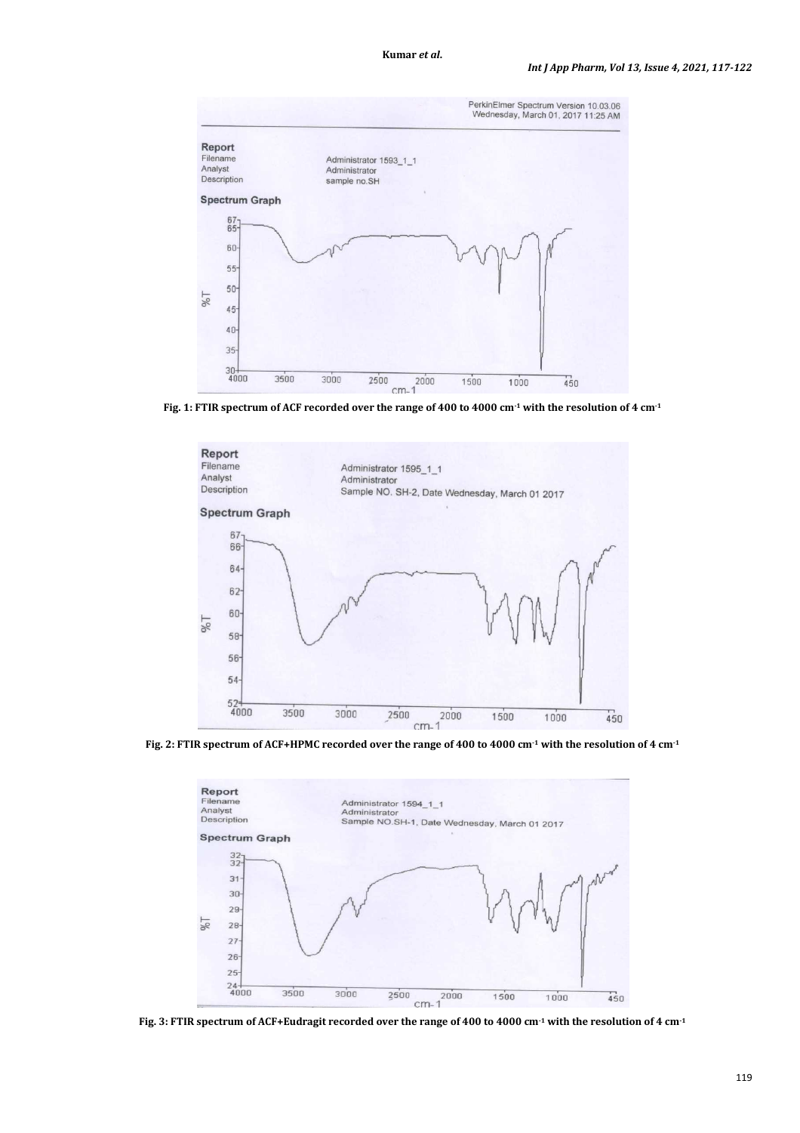

**Fig. 1: FTIR spectrum of ACF recorded over the range of 400 to 4000 cm-1 with the resolution of 4 cm-1**



**Fig. 2: FTIR spectrum of ACF+HPMC recorded over the range of 400 to 4000 cm-1 with the resolution of 4 cm-1**



**Fig. 3: FTIR spectrum of ACF+Eudragit recorded over the range of 400 to 4000 cm-1 with the resolution of 4 cm-1**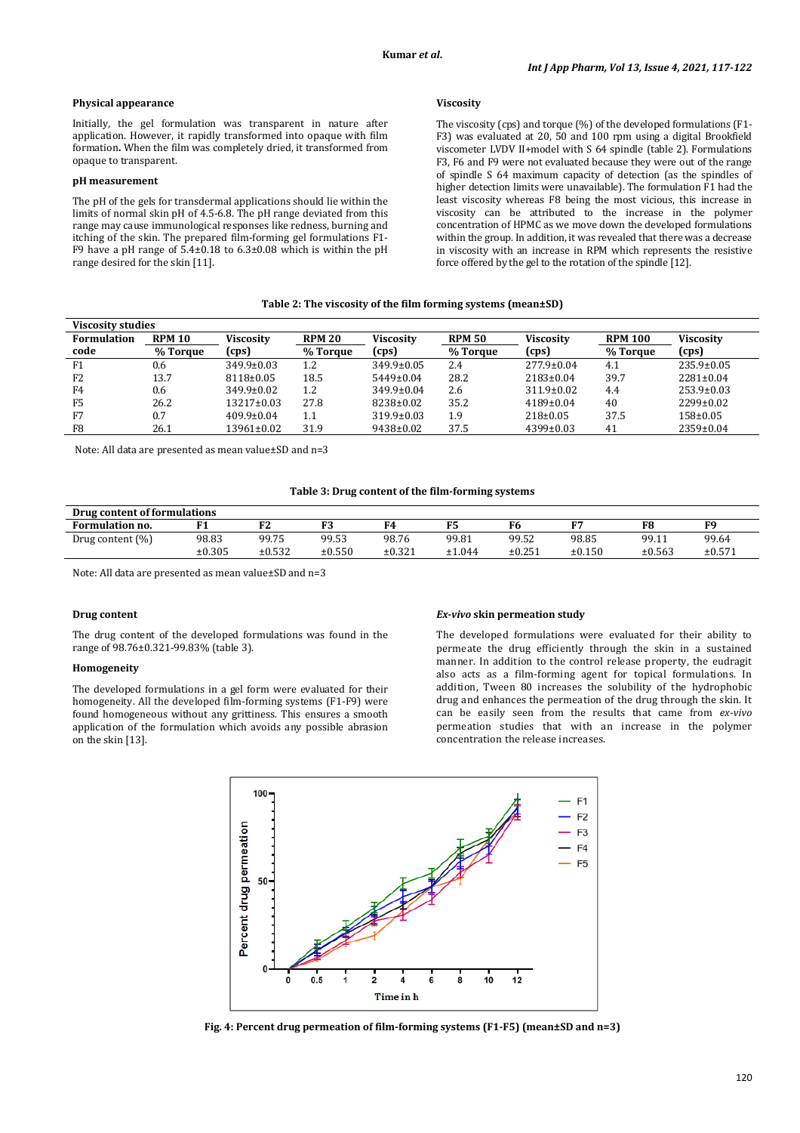## **Physical appearance**

Initially, the gel formulation was transparent in nature after application. However, it rapidly transformed into opaque with film formation. When the film was completely dried, it transformed from opaque to transparent.

#### **pH measurement**

The pH of the gels for transdermal applications should lie within the limits of normal skin pH of 4.5-6.8. The pH range deviated from this range may cause immunological responses like redness, burning and itching of the skin. The prepared film-forming gel formulations F1- F9 have a pH range of  $5.4\pm0.18$  to  $6.3\pm0.08$  which is within the pH range desired for the skin [11].

## **Viscosity**

The viscosity (cps) and torque (%) of the developed formulations (F1- F3) was evaluated at 20, 50 and 100 rpm using a digital Brookfield viscometer LVDV II+model with S 64 spindle (table 2). Formulations F3, F6 and F9 were not evaluated because they were out of the range of spindle S 64 maximum capacity of detection (as the spindles of higher detection limits were unavailable). The formulation F1 had the least viscosity whereas F8 being the most vicious, this increase in viscosity can be attributed to the increase in the polymer concentration of HPMC as we move down the developed formulations within the group. In addition, it was revealed that there was a decrease in viscosity with an increase in RPM which represents the resistive force offered by the gel to the rotation of the spindle [12].

## **Table 2: The viscosity of the film forming systems (mean±SD)**

| <b>Viscosity studies</b> |               |                  |               |                  |               |                  |                |                  |
|--------------------------|---------------|------------------|---------------|------------------|---------------|------------------|----------------|------------------|
| <b>Formulation</b>       | <b>RPM 10</b> | <b>Viscosity</b> | <b>RPM 20</b> | <b>Viscosity</b> | <b>RPM 50</b> | <b>Viscosity</b> | <b>RPM 100</b> | <b>Viscosity</b> |
| code                     | % Torque      | (cps)            | % Torque      | (cps)            | % Torque      | (cps)            | % Torque       | (cps)            |
| F1                       | 0.6           | $349.9 \pm 0.03$ | 1.2           | 349.9±0.05       | 2.4           | $277.9 \pm 0.04$ | 4.1            | $235.9 \pm 0.05$ |
| F <sub>2</sub>           | 13.7          | $8118 \pm 0.05$  | 18.5          | $5449 \pm 0.04$  | 28.2          | $2183 \pm 0.04$  | 39.7           | $2281 \pm 0.04$  |
| F4                       | 0.6           | $349.9 \pm 0.02$ | 1.2           | $349.9 \pm 0.04$ | 2.6           | $311.9 \pm 0.02$ | 4.4            | $253.9 \pm 0.03$ |
| F <sub>5</sub>           | 26.2          | $13217 \pm 0.03$ | 27.8          | 8238±0.02        | 35.2          | $4189 \pm 0.04$  | 40             | $2299 \pm 0.02$  |
| F7                       | 0.7           | $409.9 \pm 0.04$ | 1.1           | $319.9 \pm 0.03$ | 1.9           | $218 \pm 0.05$   | 37.5           | 158±0.05         |
| F8                       | 26.1          | 13961±0.02       | 31.9          | 9438±0.02        | 37.5          | 4399±0.03        | 41             | 2359±0.04        |

Note: All data are presented as mean value±SD and n=3

#### **Table 3: Drug content of the film-forming systems**

| Drug content of formulations |        |        |        |        |        |        |        |        |        |
|------------------------------|--------|--------|--------|--------|--------|--------|--------|--------|--------|
| Formulation no.              | п1     |        | F3     |        |        | F6     |        |        | F9     |
| Drug content $(\%)$          | 98.83  | 99.75  | 99.53  | 98.76  | 99.81  | 99.52  | 98.85  | 99.11  | 99.64  |
|                              | ±0.305 | ±0.532 | ±0.550 | ±0.321 | ±1.044 | ±0.251 | ±0.150 | ±0.563 | ±0.571 |

Note: All data are presented as mean value±SD and n=3

#### **Drug content**

The drug content of the developed formulations was found in the range of 98.76±0.321-99.83% (table 3).

#### **Homogeneity**

The developed formulations in a gel form were evaluated for their homogeneity. All the developed film-forming systems (F1-F9) were found homogeneous without any grittiness. This ensures a smooth application of the formulation which avoids any possible abrasion on the skin [13].

#### *Ex-vivo* **skin permeation study**

The developed formulations were evaluated for their ability to permeate the drug efficiently through the skin in a sustained manner. In addition to the control release property, the eudragit also acts as a film-forming agent for topical formulations. In addition, Tween 80 increases the solubility of the hydrophobic drug and enhances the permeation of the drug through the skin. It can be easily seen from the results that came from *ex-vivo* permeation studies that with an increase in the polymer concentration the release increases.



**Fig. 4: Percent drug permeation of film-forming systems (F1-F5) (mean±SD and n=3)**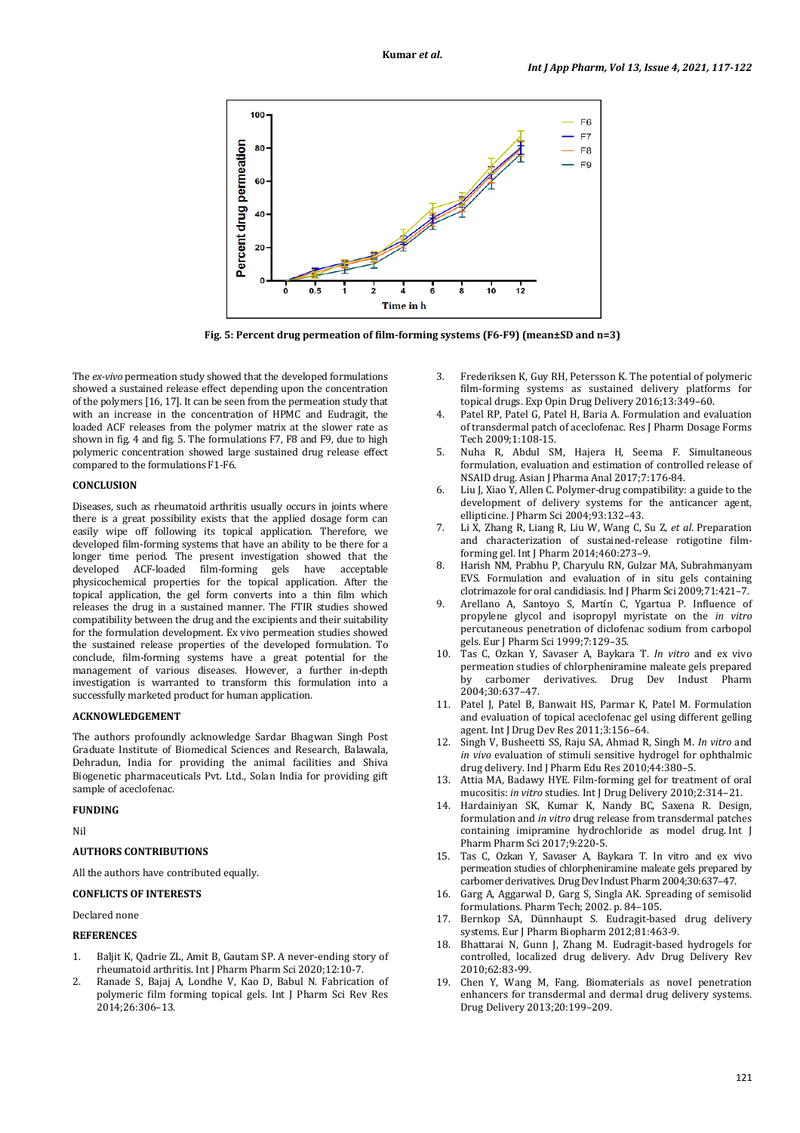

**Fig. 5: Percent drug permeation of film-forming systems (F6-F9) (mean±SD and n=3)** 

The *ex-vivo* permeation study showed that the developed formulations showed a sustained release effect depending upon the concentration of the polymers [16, 17]. It can be seen from the permeation study that with an increase in the concentration of HPMC and Eudragit, the loaded ACF releases from the polymer matrix at the slower rate as shown in fig. 4 and fig. 5. The formulations F7, F8 and F9, due to high polymeric concentration showed large sustained drug release effect compared to the formulations F1-F6.

## **CONCLUSION**

Diseases, such as rheumatoid arthritis usually occurs in joints where there is a great possibility exists that the applied dosage form can easily wipe off following its topical application. Therefore, we developed film-forming systems that have an ability to be there for a longer time period. The present investigation showed that the developed ACF-loaded film-forming gels have acceptable physicochemical properties for the topical application. After the topical application, the gel form converts into a thin film which releases the drug in a sustained manner. The FTIR studies showed compatibility between the drug and the excipients and their suitability for the formulation development. Ex vivo permeation studies showed the sustained release properties of the developed formulation. To conclude, film-forming systems have a great potential for the management of various diseases. However, a further in-depth investigation is warranted to transform this formulation into a successfully marketed product for human application.

## **ACKNOWLEDGEMENT**

The authors profoundly acknowledge Sardar Bhagwan Singh Post Graduate Institute of Biomedical Sciences and Research, Balawala, Dehradun, India for providing the animal facilities and Shiva Biogenetic pharmaceuticals Pvt. Ltd., Solan India for providing gift sample of aceclofenac.

## **FUNDING**

Nil

## **AUTHORS CONTRIBUTIONS**

All the authors have contributed equally.

## **CONFLICTS OF INTERESTS**

Declared none

## **REFERENCES**

- 1. Baljit K, Qadrie ZL, Amit B, Gautam SP. A never-ending story of rheumatoid arthritis. Int J Pharm Pharm Sci 2020;12:10-7.
- 2. Ranade S, Bajaj A, Londhe V, Kao D, Babul N. Fabrication of polymeric film forming topical gels. Int J Pharm Sci Rev Res 2014;26:306–13.
- 3. Frederiksen K, Guy RH, Petersson K. The potential of polymeric film-forming systems as sustained delivery platforms for topical drugs. Exp Opin Drug Delivery 2016;13:349–60.
- 4. Patel RP, Patel G, Patel H, Baria A. Formulation and evaluation of transdermal patch of aceclofenac. Res J Pharm Dosage Forms  $Tech 2009.1.108-15$
- 5. Nuha R, Abdul SM, Hajera H, Seema F. Simultaneous formulation, evaluation and estimation of controlled release of NSAID drug. Asian J Pharma Anal 2017;7:176-84.
- 6. Liu J, Xiao Y, Allen C. Polymer-drug compatibility: a guide to the development of delivery systems for the anticancer agent, ellipticine. J Pharm Sci 2004;93:132–43.
- 7. Li X, Zhang R, Liang R, Liu W, Wang C, Su Z, *et al*. Preparation and characterization of sustained-release rotigotine filmforming gel. Int J Pharm 2014;460:273–9.
- 8. Harish NM, Prabhu P, Charyulu RN, Gulzar MA, Subrahmanyam EVS. Formulation and evaluation of in situ gels containing clotrimazole for oral candidiasis. Ind J Pharm Sci 2009;71:421–7.
- 9. Arellano A, Santoyo S, Martín C, Ygartua P. Influence of propylene glycol and isopropyl myristate on the *in vitro* percutaneous penetration of diclofenac sodium from carbopol gels. Eur J Pharm Sci 1999;7:129–35.
- 10. Tas C, Ozkan Y, Savaser A, Baykara T. *In vitro* and ex vivo permeation studies of chlorpheniramine maleate gels prepared by carbomer derivatives. Drug Dev Indust Pharm 2004;30:637–47.
- 11. Patel J, Patel B, Banwait HS, Parmar K, Patel M. Formulation and evaluation of topical aceclofenac gel using different gelling agent. Int J Drug Dev Res 2011;3:156–64.
- 12. Singh V, Busheetti SS, Raju SA, Ahmad R, Singh M. *In vitro* and *in vivo* evaluation of stimuli sensitive hydrogel for ophthalmic drug delivery. Ind J Pharm Edu Res 2010;44:380–5.
- 13. Attia MA, Badawy HYE. Film-forming gel for treatment of oral mucositis: *in vitro* studies. Int J Drug Delivery 2010;2:314–21.
- 14. Hardainiyan SK, Kumar K, Nandy BC, Saxena R. Design, formulation and *in vitro* drug release from transdermal patches containing imipramine hydrochloride as model drug. Int J Pharm Pharm Sci 2017;9:220-5.
- 15. Tas C, Ozkan Y, Savaser A, Baykara T. In vitro and ex vivo permeation studies of chlorpheniramine maleate gels prepared by carbomer derivatives. Drug Dev Indust Pharm 2004;30:637–47.
- 16. Garg A, Aggarwal D, Garg S, Singla AK. Spreading of semisolid formulations. Pharm Tech; 2002. p. 84–105.
- 17. Bernkop SA, Dünnhaupt S. Eudragit-based drug delivery systems. Eur J Pharm Biopharm 2012;81:463-9.
- 18. Bhattarai N, Gunn J, Zhang M. Eudragit-based hydrogels for controlled, localized drug delivery. Adv Drug Delivery Rev 2010;62:83-99.
- 19. Chen Y, Wang M, Fang. Biomaterials as novel penetration enhancers for transdermal and dermal drug delivery systems. Drug Delivery 2013;20:199–209.